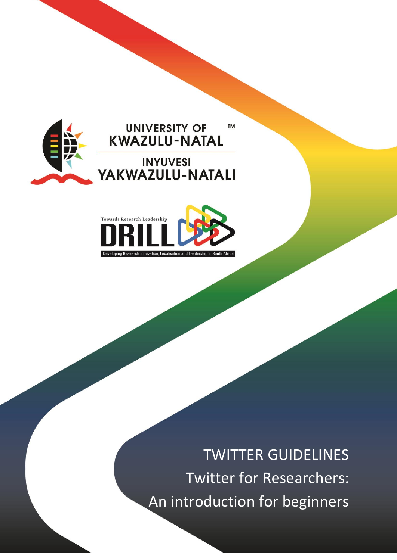



TWITTER GUIDELINES Twitter for Researchers: An introduction for beginners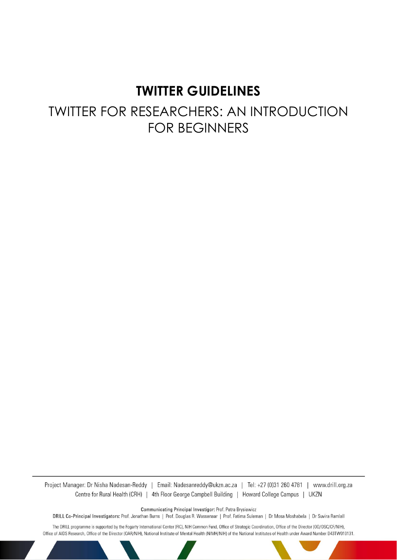# **TWITTER GUIDELINES**

# TWITTER FOR RESEARCHERS: AN INTRODUCTION FOR BEGINNERS

Project Manager: Dr Nisha Nadesan-Reddy | Email: Nadesanreddy@ukzn.ac.za | Tel: +27 (0)31 260 4781 | www.drill.org.za Centre for Rural Health (CRH) | 4th Floor George Campbell Building | Howard College Campus | UKZN

Communicating Principal Investigor: Prof. Petra Brysiewicz

DRILL Co-Principal Investigators: Prof. Jonathan Burns | Prof. Douglas R. Wassenaar | Prof. Fatima Suleman | Dr Mosa Moshabela | Dr Suvira Ramlall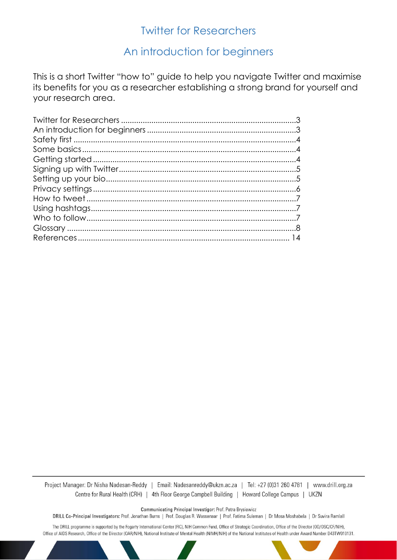## **Twitter for Researchers**

# An introduction for beginners

This is a short Twitter "how to" guide to help you navigate Twitter and maximise its benefits for you as a researcher establishing a strong brand for yourself and your research area.

Project Manager: Dr Nisha Nadesan-Reddy | Email: Nadesanreddy@ukzn.ac.za | Tel: +27 (0)31 260 4781 | www.drill.org.za Centre for Rural Health (CRH) | 4th Floor George Campbell Building | Howard College Campus | UKZN

Communicating Principal Investigor: Prof. Petra Brysiewicz

DRILL Co-Principal Investigators: Prof. Jonathan Burns | Prof. Douglas R. Wassenaar | Prof. Fatima Suleman | Dr Mosa Moshabela | Dr Suvira Ramlall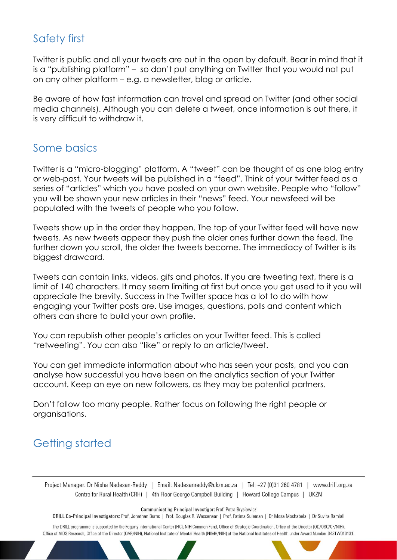# Safety first

Twitter is public and all your tweets are out in the open by default. Bear in mind that it is a "publishing platform" – so don't put anything on Twitter that you would not put on any other platform – e.g. a newsletter, blog or article.

Be aware of how fast information can travel and spread on Twitter (and other social media channels). Although you can delete a tweet, once information is out there, it is very difficult to withdraw it.

# Some basics

Twitter is a "micro-blogging" platform. A "tweet" can be thought of as one blog entry or web-post. Your tweets will be published in a "feed". Think of your twitter feed as a series of "articles" which you have posted on your own website. People who "follow" you will be shown your new articles in their "news" feed. Your newsfeed will be populated with the tweets of people who you follow.

Tweets show up in the order they happen. The top of your Twitter feed will have new tweets. As new tweets appear they push the older ones further down the feed. The further down you scroll, the older the tweets become. The immediacy of Twitter is its biggest drawcard.

Tweets can contain links, videos, gifs and photos. If you are tweeting text, there is a limit of 140 characters. It may seem limiting at first but once you get used to it you will appreciate the brevity. Success in the Twitter space has a lot to do with how engaging your Twitter posts are. Use images, questions, polls and content which others can share to build your own profile.

You can republish other people's articles on your Twitter feed. This is called "retweeting". You can also "like" or reply to an article/tweet.

You can get immediate information about who has seen your posts, and you can analyse how successful you have been on the analytics section of your Twitter account. Keep an eye on new followers, as they may be potential partners.

Don't follow too many people. Rather focus on following the right people or organisations.

# Getting started

Project Manager: Dr Nisha Nadesan-Reddy | Email: Nadesanreddy@ukzn.ac.za | Tel: +27 (0)31 260 4781 | www.drill.org.za Centre for Rural Health (CRH) | 4th Floor George Campbell Building | Howard College Campus | UKZN

Communicating Principal Investigor: Prof. Petra Brysiewicz

DRILL Co-Principal Investigators: Prof. Jonathan Burns | Prof. Douglas R. Wassenaar | Prof. Fatima Suleman | Dr Mosa Moshabela | Dr Suvira Ramlall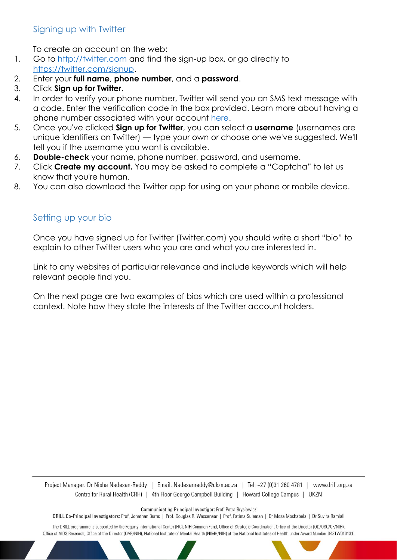### Signing up with Twitter

To create an account on the web:

- 1. Go to [http://twitter.com](https://twitter.com/) and find the sign-up box, or go directly to [https://twitter.com/signup.](https://twitter.com/signup)
- 2. Enter your **full name**, **phone number**, and a **password**.
- 3. Click **Sign up for Twitter**.
- 4. In order to verify your phone number, Twitter will send you an SMS text message with a code. Enter the verification code in the box provided. Learn more about having a phone number associated with your account [here.](https://support.twitter.com/articles/20172029)
- 5. Once you've clicked **Sign up for Twitter**, you can select a **username** (usernames are unique identifiers on Twitter) — type your own or choose one we've suggested. We'll tell you if the username you want is available.
- 6. **Double-check** your name, phone number, password, and username.
- 7. Click **Create my account.** You may be asked to complete a "Captcha" to let us know that you're human.
- 8. You can also download the Twitter app for using on your phone or mobile device.

### Setting up your bio

Once you have signed up for Twitter (Twitter.com) you should write a short "bio" to explain to other Twitter users who you are and what you are interested in.

Link to any websites of particular relevance and include keywords which will help relevant people find you.

On the next page are two examples of bios which are used within a professional context. Note how they state the interests of the Twitter account holders.

Project Manager: Dr Nisha Nadesan-Reddy | Email: Nadesanreddy@ukzn.ac.za | Tel: +27 (0)31 260 4781 | www.drill.org.za Centre for Rural Health (CRH) | 4th Floor George Campbell Building | Howard College Campus | UKZN

Communicating Principal Investigor: Prof. Petra Brysiewicz

DRILL Co-Principal Investigators: Prof. Jonathan Burns | Prof. Douglas R. Wassenaar | Prof. Fatima Suleman | Dr Mosa Moshabela | Dr Suvira Ramlall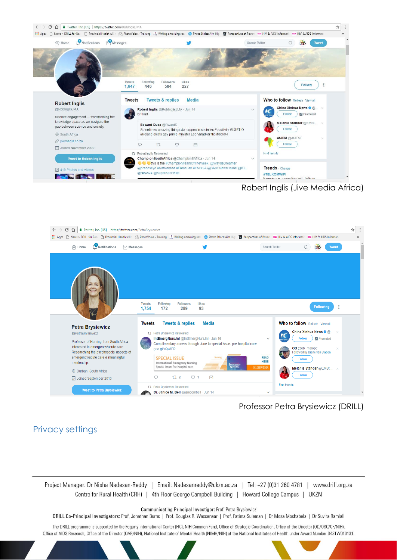

Robert Inglis (Jive Media Africa)



Professor Petra Brysiewicz (DRILL)

### Privacy settings

Project Manager: Dr Nisha Nadesan-Reddy | Email: Nadesanreddy@ukzn.ac.za | Tel: +27 (0)31 260 4781 | www.drill.org.za Centre for Rural Health (CRH) | 4th Floor George Campbell Building | Howard College Campus | UKZN

Communicating Principal Investigor: Prof. Petra Brysiewicz

DRILL Co-Principal Investigators: Prof. Jonathan Burns | Prof. Douglas R. Wassenaar | Prof. Fatima Suleman | Dr Mosa Moshabela | Dr Suvira Ramlall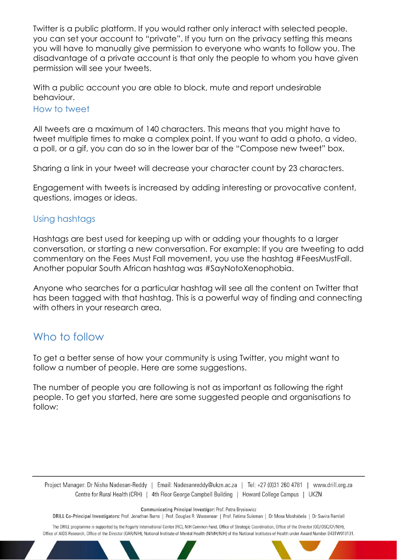Twitter is a public platform. If you would rather only interact with selected people, you can set your account to "private". If you turn on the privacy setting this means you will have to manually give permission to everyone who wants to follow you. The disadvantage of a private account is that only the people to whom you have given permission will see your tweets.

With a public account you are able to block, mute and report undesirable behaviour.

#### How to tweet

All tweets are a maximum of 140 characters. This means that you might have to tweet multiple times to make a complex point. If you want to add a photo, a video, a poll, or a gif, you can do so in the lower bar of the "Compose new tweet" box.

Sharing a link in your tweet will decrease your character count by 23 characters.

Engagement with tweets is increased by adding interesting or provocative content, questions, images or ideas.

#### Using hashtags

Hashtags are best used for keeping up with or adding your thoughts to a larger conversation, or starting a new conversation. For example: If you are tweeting to add commentary on the Fees Must Fall movement, you use the hashtag #FeesMustFall. Another popular South African hashtag was #SayNotoXenophobia.

Anyone who searches for a particular hashtag will see all the content on Twitter that has been tagged with that hashtag. This is a powerful way of finding and connecting with others in your research area.

# Who to follow

To get a better sense of how your community is using Twitter, you might want to follow a number of people. Here are some suggestions.

The number of people you are following is not as important as following the right people. To get you started, here are some suggested people and organisations to follow:

Project Manager: Dr Nisha Nadesan-Reddy | Email: Nadesanreddy@ukzn.ac.za | Tel: +27 (0)31 260 4781 | www.drill.org.za Centre for Rural Health (CRH) | 4th Floor George Campbell Building | Howard College Campus | UKZN

Communicating Principal Investigor: Prof. Petra Brysiewicz

DRILL Co-Principal Investigators: Prof. Jonathan Burns | Prof. Douglas R. Wassenaar | Prof. Fatima Suleman | Dr Mosa Moshabela | Dr Suvira Ramlall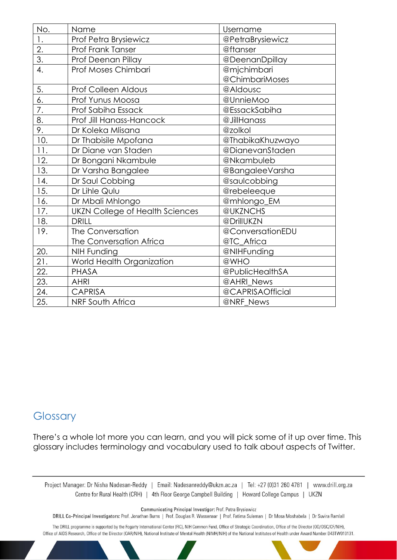| No.              | Name                                   | Username         |
|------------------|----------------------------------------|------------------|
| 1.               | Prof Petra Brysiewicz                  | @PetraBrysiewicz |
| 2.               | <b>Prof Frank Tanser</b>               | @ftanser         |
| $\overline{3}$ . | Prof Deenan Pillay                     | @DeenanDpillay   |
| 4.               | Prof Moses Chimbari                    | @mjchimbari      |
|                  |                                        | @ChimbariMoses   |
| 5.               | <b>Prof Colleen Aldous</b>             | @Aldousc         |
| $\overline{6}$ . | Prof Yunus Moosa                       | @UnnieMoo        |
| 7.               | Prof Sabiha Essack                     | @EssackSabiha    |
| 8.               | Prof Jill Hanass-Hancock               | @JillHanass      |
| 9.               | Dr Koleka Mlisana                      | @zolkol          |
| 10.              | Dr Thabisile Mpofana                   | @ThabikaKhuzwayo |
| 11.              | Dr Diane van Staden                    | @DianevanStaden  |
| 12.              | Dr Bongani Nkambule                    | @Nkambuleb       |
| 13.              | Dr Varsha Bangalee                     | @BangaleeVarsha  |
| 14.              | Dr Saul Cobbing                        | @saulcobbing     |
| 15.              | Dr Lihle Qulu                          | @rebeleeque      |
| 16.              | Dr Mbali Mhlongo                       | @mhlongo_EM      |
| 17.              | <b>UKZN College of Health Sciences</b> | @UKZNCHS         |
| 18.              | <b>DRILL</b>                           | @DrillUKZN       |
| 19.              | The Conversation                       | @ConversationEDU |
|                  | The Conversation Africa                | @TC_Africa       |
| 20.              | <b>NIH Funding</b>                     | @NIHFunding      |
| 21.              | World Health Organization              | @WHO             |
| 22.              | <b>PHASA</b>                           | @PublicHealthSA  |
| 23.              | <b>AHRI</b>                            | @AHRI News       |
| 24.              | <b>CAPRISA</b>                         | @CAPRISAOfficial |
| 25.              | <b>NRF South Africa</b>                | @NRF News        |

## **Glossary**

There's a whole lot more you can learn, and you will pick some of it up over time. This glossary includes terminology and vocabulary used to talk about aspects of Twitter.

Project Manager: Dr Nisha Nadesan-Reddy | Email: Nadesanreddy@ukzn.ac.za | Tel: +27 (0)31 260 4781 | www.drill.org.za Centre for Rural Health (CRH) | 4th Floor George Campbell Building | Howard College Campus | UKZN

Communicating Principal Investigor: Prof. Petra Brysiewicz

DRILL Co-Principal Investigators: Prof. Jonathan Burns | Prof. Douglas R. Wassenaar | Prof. Fatima Suleman | Dr Mosa Moshabela | Dr Suvira Ramlall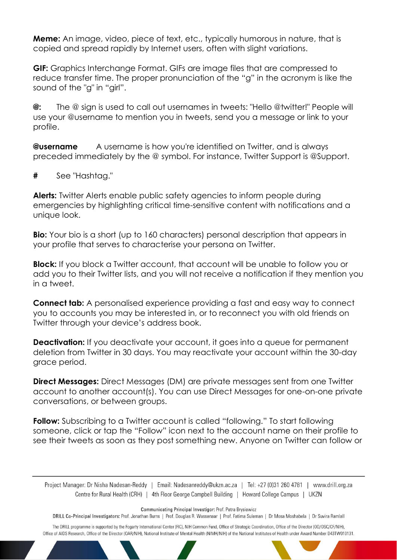**Meme:** An image, video, piece of text, etc., typically humorous in nature, that is copied and spread rapidly by Internet users, often with slight variations.

**GIF:** Graphics Interchange Format. GIFs are image files that are compressed to reduce transfer time. The proper pronunciation of the "g" in the acronym is like the sound of the "g" in "girl".

**@:** The @ sign is used to call out usernames in tweets: "Hello @twitter!" People will use your @username to mention you in tweets, send you a message or link to your profile.

**@username** A username is how you're identified on Twitter, and is always preceded immediately by the @ symbol. For instance, Twitter Support is @Support.

**#** See "Hashtag."

**Alerts:** Twitter Alerts enable public safety agencies to inform people during emergencies by highlighting critical time-sensitive content with notifications and a unique look.

**Bio:** Your bio is a short (up to 160 characters) personal description that appears in your profile that serves to characterise your persona on Twitter.

**Block:** If you block a Twitter account, that account will be unable to follow you or add you to their Twitter lists, and you will not receive a notification if they mention you in a tweet.

**Connect tab:** A personalised experience providing a fast and easy way to connect you to accounts you may be interested in, or to reconnect you with old friends on Twitter through your device's address book.

**Deactivation:** If you deactivate your account, it goes into a queue for permanent deletion from Twitter in 30 days. You may reactivate your account within the 30-day grace period.

**Direct Messages:** Direct Messages (DM) are private messages sent from one Twitter account to another account(s). You can use Direct Messages for one-on-one private conversations, or between groups.

**Follow:** Subscribing to a Twitter account is called "following." To start following someone, click or tap the "Follow" icon next to the account name on their profile to see their tweets as soon as they post something new. Anyone on Twitter can follow or

Project Manager: Dr Nisha Nadesan-Reddy | Email: Nadesanreddy@ukzn.ac.za | Tel: +27 (0)31 260 4781 | www.drill.org.za Centre for Rural Health (CRH) | 4th Floor George Campbell Building | Howard College Campus | UKZN

Communicating Principal Investigor: Prof. Petra Brysiewicz

DRILL Co-Principal Investigators: Prof. Jonathan Burns | Prof. Douglas R. Wassenaar | Prof. Fatima Suleman | Dr Mosa Moshabela | Dr Suvira Ramlall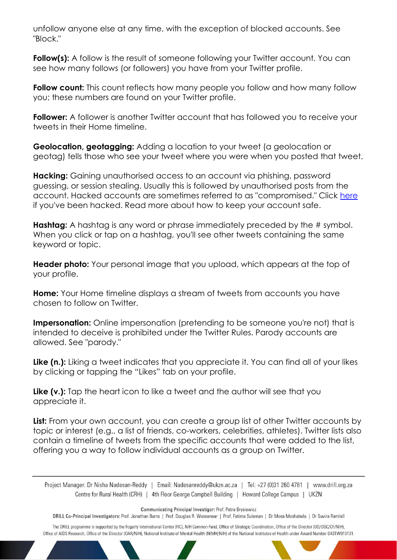unfollow anyone else at any time, with the exception of blocked accounts. See "Block."

**Follow(s):** A follow is the result of someone following your Twitter account. You can see how many follows (or followers) you have from your Twitter profile.

**Follow count:** This count reflects how many people you follow and how many follow you; these numbers are found on your Twitter profile.

Follower: A follower is another Twitter account that has followed you to receive your tweets in their Home timeline.

**Geolocation, geotagging:** Adding a location to your tweet (a geolocation or geotag) tells those who see your tweet where you were when you posted that tweet.

**Hacking:** Gaining unauthorised access to an account via phishing, password guessing, or session stealing. Usually this is followed by unauthorised posts from the account. Hacked accounts are sometimes referred to as "compromised." Click [here](https://support.twitter.com/search?utf8=%E2%9C%93&query=hacked) if you've been hacked. Read more about how to keep your account safe.

**Hashtag:** A hashtag is any word or phrase immediately preceded by the # symbol. When you click or tap on a hashtag, you'll see other tweets containing the same keyword or topic.

**Header photo:** Your personal image that you upload, which appears at the top of your profile.

**Home:** Your Home timeline displays a stream of tweets from accounts you have chosen to follow on Twitter.

**Impersonation:** Online impersonation (pretending to be someone you're not) that is intended to deceive is prohibited under the Twitter Rules. Parody accounts are allowed. See "parody."

Like (n.): Liking a tweet indicates that you appreciate it. You can find all of your likes by clicking or tapping the "Likes" tab on your profile.

Like (v.): Tap the heart icon to like a tweet and the author will see that you appreciate it.

List: From your own account, you can create a group list of other Twitter accounts by topic or interest (e.g., a list of friends, co-workers, celebrities, athletes). Twitter lists also contain a timeline of tweets from the specific accounts that were added to the list, offering you a way to follow individual accounts as a group on Twitter.

Project Manager: Dr Nisha Nadesan-Reddy | Email: Nadesanreddy@ukzn.ac.za | Tel: +27 (0)31 260 4781 | www.drill.org.za Centre for Rural Health (CRH) | 4th Floor George Campbell Building | Howard College Campus | UKZN

Communicating Principal Investigor: Prof. Petra Brysiewicz

DRILL Co-Principal Investigators: Prof. Jonathan Burns | Prof. Douglas R. Wassenaar | Prof. Fatima Suleman | Dr Mosa Moshabela | Dr Suvira Ramlall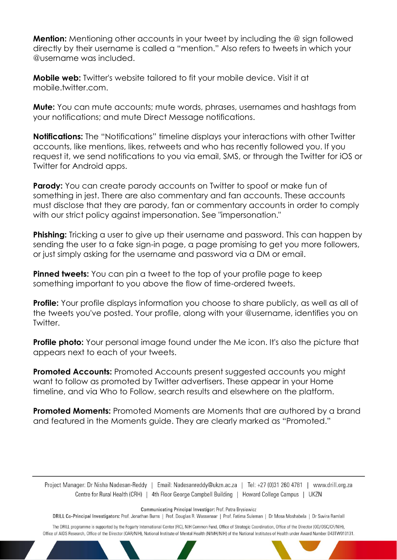**Mention:** Mentioning other accounts in your tweet by including the @ sign followed directly by their username is called a "mention." Also refers to tweets in which your @username was included.

**Mobile web:** Twitter's website tailored to fit your mobile device. Visit it at mobile.twitter.com

**Mute:** You can mute accounts; mute words, phrases, usernames and hashtags from your notifications; and mute Direct Message notifications.

**Notifications:** The "Notifications" timeline displays your interactions with other Twitter accounts, like mentions, likes, retweets and who has recently followed you. If you request it, we send notifications to you via email, SMS, or through the Twitter for iOS or Twitter for Android apps.

**Parody:** You can create parody accounts on Twitter to spoof or make fun of something in jest. There are also commentary and fan accounts. These accounts must disclose that they are parody, fan or commentary accounts in order to comply with our strict policy against impersonation. See "impersonation."

**Phishing:** Tricking a user to give up their username and password. This can happen by sending the user to a fake sign-in page, a page promising to get you more followers, or just simply asking for the username and password via a DM or email.

**Pinned tweets:** You can pin a tweet to the top of your profile page to keep something important to you above the flow of time-ordered tweets.

**Profile:** Your profile displays information you choose to share publicly, as well as all of the tweets you've posted. Your profile, along with your @username, identifies you on Twitter.

**Profile photo:** Your personal image found under the Me icon. It's also the picture that appears next to each of your tweets.

**Promoted Accounts:** Promoted Accounts present suggested accounts you might want to follow as promoted by Twitter advertisers. These appear in your Home timeline, and via Who to Follow, search results and elsewhere on the platform.

**Promoted Moments:** Promoted Moments are Moments that are authored by a brand and featured in the Moments guide. They are clearly marked as "Promoted."

Project Manager: Dr Nisha Nadesan-Reddy | Email: Nadesanreddy@ukzn.ac.za | Tel: +27 (0)31 260 4781 | www.drill.org.za Centre for Rural Health (CRH) | 4th Floor George Campbell Building | Howard College Campus | UKZN

Communicating Principal Investigor: Prof. Petra Brysiewicz

DRILL Co-Principal Investigators: Prof. Jonathan Burns | Prof. Douglas R. Wassenaar | Prof. Fatima Suleman | Dr Mosa Moshabela | Dr Suvira Ramlall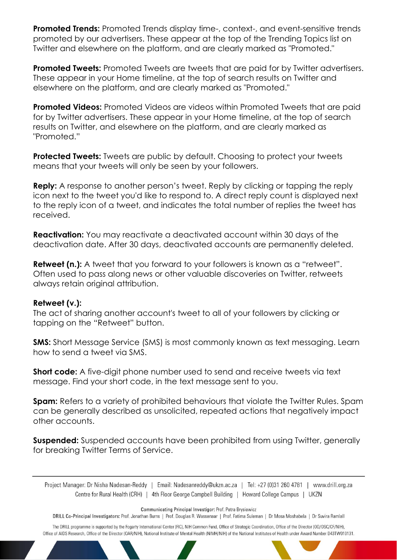**Promoted Trends:** Promoted Trends display time-, context-, and event-sensitive trends promoted by our advertisers. These appear at the top of the Trending Topics list on Twitter and elsewhere on the platform, and are clearly marked as "Promoted."

**Promoted Tweets:** Promoted Tweets are tweets that are paid for by Twitter advertisers. These appear in your Home timeline, at the top of search results on Twitter and elsewhere on the platform, and are clearly marked as "Promoted."

**Promoted Videos:** Promoted Videos are videos within Promoted Tweets that are paid for by Twitter advertisers. These appear in your Home timeline, at the top of search results on Twitter, and elsewhere on the platform, and are clearly marked as "Promoted."

**Protected Tweets:** Tweets are public by default. Choosing to protect your tweets means that your tweets will only be seen by your followers.

**Reply:** A response to another person's tweet. Reply by clicking or tapping the reply icon next to the tweet you'd like to respond to. A direct reply count is displayed next to the reply icon of a tweet, and indicates the total number of replies the tweet has received.

**Reactivation:** You may reactivate a deactivated account within 30 days of the deactivation date. After 30 days, deactivated accounts are permanently deleted.

**Retweet (n.):** A tweet that you forward to your followers is known as a "retweet". Often used to pass along news or other valuable discoveries on Twitter, retweets always retain original attribution.

#### **Retweet (v.):**

The act of sharing another account's tweet to all of your followers by clicking or tapping on the "Retweet" button.

**SMS:** Short Message Service (SMS) is most commonly known as text messaging. Learn how to send a tweet via SMS.

**Short code:** A five-digit phone number used to send and receive tweets via text message. Find your short code, in the text message sent to you.

**Spam:** Refers to a variety of prohibited behaviours that violate the Twitter Rules. Spam can be generally described as unsolicited, repeated actions that negatively impact other accounts.

**Suspended:** Suspended accounts have been prohibited from using Twitter, generally for breaking Twitter Terms of Service.

Project Manager: Dr Nisha Nadesan-Reddy | Email: Nadesanreddy@ukzn.ac.za | Tel: +27 (0)31 260 4781 | www.drill.org.za Centre for Rural Health (CRH) | 4th Floor George Campbell Building | Howard College Campus | UKZN

Communicating Principal Investigor: Prof. Petra Brysiewicz

DRILL Co-Principal Investigators: Prof. Jonathan Burns | Prof. Douglas R. Wassenaar | Prof. Fatima Suleman | Dr Mosa Moshabela | Dr Suvira Ramlall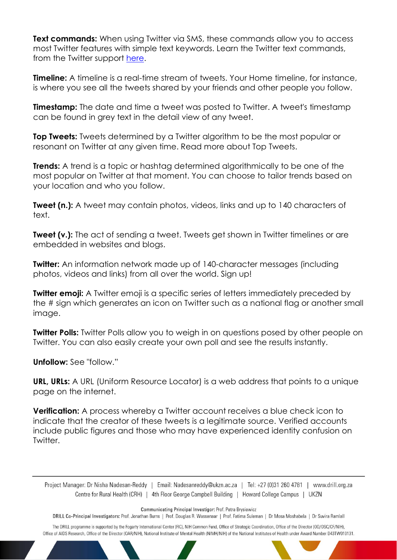**Text commands:** When using Twitter via SMS, these commands allow you to access most Twitter features with simple text keywords. Learn the Twitter text commands, from the Twitter support [here.](https://support.twitter.com/articles/14020)

**Timeline:** A timeline is a real-time stream of tweets. Your Home timeline, for instance, is where you see all the tweets shared by your friends and other people you follow.

**Timestamp:** The date and time a tweet was posted to Twitter. A tweet's timestamp can be found in grey text in the detail view of any tweet.

**Top Tweets:** Tweets determined by a Twitter algorithm to be the most popular or resonant on Twitter at any given time. Read more about Top Tweets.

**Trends:** A trend is a topic or hashtag determined algorithmically to be one of the most popular on Twitter at that moment. You can choose to tailor trends based on your location and who you follow.

**Tweet (n.):** A tweet may contain photos, videos, links and up to 140 characters of text.

**Tweet (v.):** The act of sending a tweet. Tweets get shown in Twitter timelines or are embedded in websites and blogs.

**Twitter:** An information network made up of 140-character messages (including photos, videos and links) from all over the world. Sign up!

**Twitter emoji:** A Twitter emoji is a specific series of letters immediately preceded by the # sign which generates an icon on Twitter such as a national flag or another small image.

**Twitter Polls:** Twitter Polls allow you to weigh in on questions posed by other people on Twitter. You can also easily create your own poll and see the results instantly.

**Unfollow:** See "follow."

**URL, URLs:** A URL (Uniform Resource Locator) is a web address that points to a unique page on the internet.

**Verification:** A process whereby a Twitter account receives a blue check icon to indicate that the creator of these tweets is a legitimate source. Verified accounts include public figures and those who may have experienced identity confusion on Twitter.

Project Manager: Dr Nisha Nadesan-Reddy | Email: Nadesanreddy@ukzn.ac.za | Tel: +27 (0)31 260 4781 | www.drill.org.za Centre for Rural Health (CRH) | 4th Floor George Campbell Building | Howard College Campus | UKZN

Communicating Principal Investigor: Prof. Petra Brysiewicz

DRILL Co-Principal Investigators: Prof. Jonathan Burns | Prof. Douglas R. Wassenaar | Prof. Fatima Suleman | Dr Mosa Moshabela | Dr Suvira Ramlall